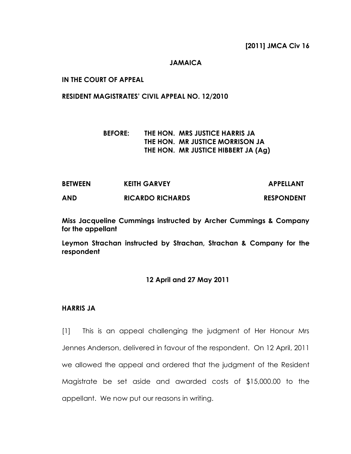#### **JAMAICA**

### **IN THE COURT OF APPEAL**

#### **RESIDENT MAGISTRATES' CIVIL APPEAL NO. 12/2010**

## **BEFORE: THE HON. MRS JUSTICE HARRIS JA THE HON. MR JUSTICE MORRISON JA THE HON. MR JUSTICE HIBBERT JA (Ag)**

| <b>BETWEEN</b> | <b>KEITH GARVEY</b>     | <b>APPELLANT</b>  |
|----------------|-------------------------|-------------------|
| AND            | <b>RICARDO RICHARDS</b> | <b>RESPONDENT</b> |

**Miss Jacqueline Cummings instructed by Archer Cummings & Company for the appellant**

**Leymon Strachan instructed by Strachan, Strachan & Company for the respondent**

#### **12 April and 27 May 2011**

#### **HARRIS JA**

[1] This is an appeal challenging the judgment of Her Honour Mrs Jennes Anderson, delivered in favour of the respondent. On 12 April, 2011 we allowed the appeal and ordered that the judgment of the Resident Magistrate be set aside and awarded costs of \$15,000.00 to the appellant. We now put our reasons in writing.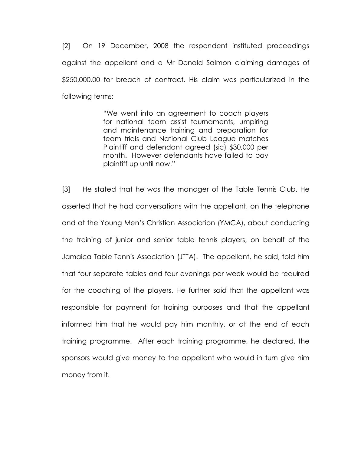[2] On 19 December, 2008 the respondent instituted proceedings against the appellant and a Mr Donald Salmon claiming damages of \$250,000.00 for breach of contract. His claim was particularized in the following terms:

> "We went into an agreement to coach players for national team assist tournaments, umpiring and maintenance training and preparation for team trials and National Club League matches Plaintiff and defendant agreed (sic) \$30,000 per month. However defendants have failed to pay plaintiff up until now."

[3] He stated that he was the manager of the Table Tennis Club. He asserted that he had conversations with the appellant, on the telephone and at the Young Men"s Christian Association (YMCA), about conducting the training of junior and senior table tennis players, on behalf of the Jamaica Table Tennis Association (JTTA). The appellant, he said, told him that four separate tables and four evenings per week would be required for the coaching of the players. He further said that the appellant was responsible for payment for training purposes and that the appellant informed him that he would pay him monthly, or at the end of each training programme. After each training programme, he declared, the sponsors would give money to the appellant who would in turn give him money from it.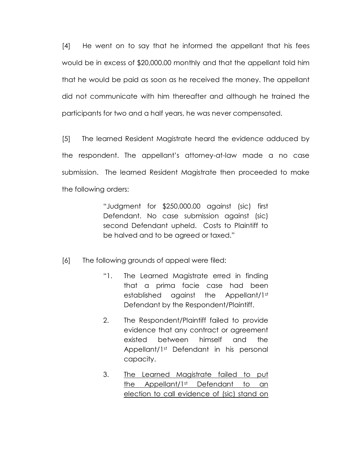[4] He went on to say that he informed the appellant that his fees would be in excess of \$20,000.00 monthly and that the appellant told him that he would be paid as soon as he received the money. The appellant did not communicate with him thereafter and although he trained the participants for two and a half years, he was never compensated.

[5] The learned Resident Magistrate heard the evidence adduced by the respondent. The appellant"s attorney-at-law made a no case submission. The learned Resident Magistrate then proceeded to make the following orders:

> "Judgment for \$250,000.00 against (sic) first Defendant. No case submission against (sic) second Defendant upheld. Costs to Plaintiff to be halved and to be agreed or taxed."

- [6] The following grounds of appeal were filed:
	- "1. The Learned Magistrate erred in finding that a prima facie case had been established against the Appellant/1st Defendant by the Respondent/Plaintiff.
	- 2. The Respondent/Plaintiff failed to provide evidence that any contract or agreement existed between himself and the Appellant/1st Defendant in his personal capacity.
	- 3. The Learned Magistrate failed to put the Appellant/1st Defendant to an election to call evidence of (sic) stand on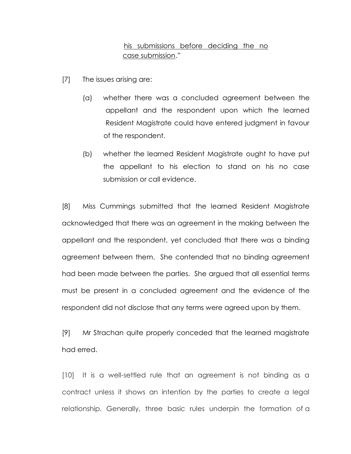# his submissions before deciding the no case submission."

- [7] The issues arising are:
	- (a) whether there was a concluded agreement between the appellant and the respondent upon which the learned Resident Magistrate could have entered judgment in favour of the respondent.
	- (b) whether the learned Resident Magistrate ought to have put the appellant to his election to stand on his no case submission or call evidence.

[8] Miss Cummings submitted that the learned Resident Magistrate acknowledged that there was an agreement in the making between the appellant and the respondent, yet concluded that there was a binding agreement between them. She contended that no binding agreement had been made between the parties. She argued that all essential terms must be present in a concluded agreement and the evidence of the respondent did not disclose that any terms were agreed upon by them.

[9] Mr Strachan quite properly conceded that the learned magistrate had erred.

[10] It is a well-settled rule that an agreement is not binding as a contract unless it shows an intention by the parties to create a legal relationship. Generally, three basic rules underpin the formation of a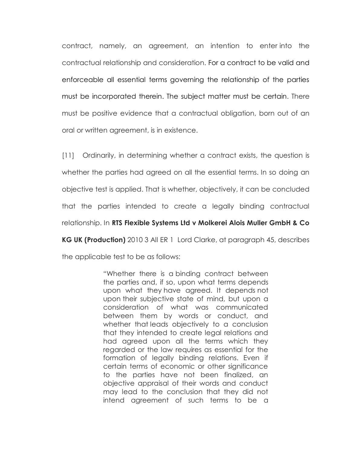contract, namely, an agreement, an intention to enter into the contractual relationship and consideration. For a contract to be valid and enforceable all essential terms governing the relationship of the parties must be incorporated therein. The subject matter must be certain. There must be positive evidence that a contractual obligation, born out of an oral or written agreement, is in existence.

[11] Ordinarily, in determining whether a contract exists, the question is whether the parties had agreed on all the essential terms. In so doing an objective test is applied. That is whether, objectively, it can be concluded that the parties intended to create a legally binding contractual relationship. In **RTS Flexible Systems Ltd v Molkerei Alois Muller GmbH & Co KG UK (Production)** 2010 3 All ER 1 Lord Clarke, at paragraph 45, describes

the applicable test to be as follows:

"Whether there is a binding contract between the parties and, if so, upon what terms depends upon what they have agreed. It depends not upon their subjective state of mind, but upon a consideration of what was communicated between them by words or conduct, and whether that leads objectively to a conclusion that they intended to create legal relations and had agreed upon all the terms which they regarded or the law requires as essential for the formation of legally binding relations. Even if certain terms of economic or other significance to the parties have not been finalized, an objective appraisal of their words and conduct may lead to the conclusion that they did not intend agreement of such terms to be a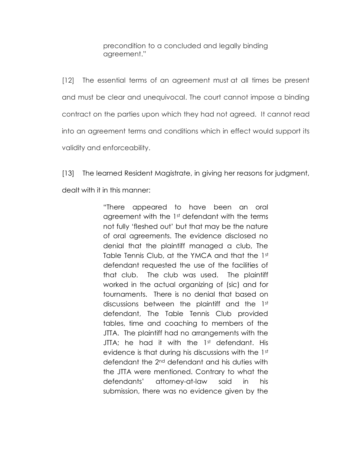precondition to a concluded and legally binding agreement."

[12] The essential terms of an agreement must at all times be present and must be clear and unequivocal. The court cannot impose a binding contract on the parties upon which they had not agreed. It cannot read into an agreement terms and conditions which in effect would support its validity and enforceability.

[13] The learned Resident Magistrate, in giving her reasons for judgment, dealt with it in this manner:

> "There appeared to have been an oral agreement with the 1st defendant with the terms not fully "fleshed out" but that may be the nature of oral agreements. The evidence disclosed no denial that the plaintiff managed a club, The Table Tennis Club, at the YMCA and that the 1st defendant requested the use of the facilities of that club. The club was used. The plaintiff worked in the actual organizing of (sic) and for tournaments. There is no denial that based on discussions between the plaintiff and the 1st defendant, The Table Tennis Club provided tables, time and coaching to members of the JTTA. The plaintiff had no arrangements with the JTTA; he had it with the 1st defendant. His evidence is that during his discussions with the 1st defendant the 2nd defendant and his duties with the JTTA were mentioned. Contrary to what the defendants" attorney-at-law said in his submission, there was no evidence given by the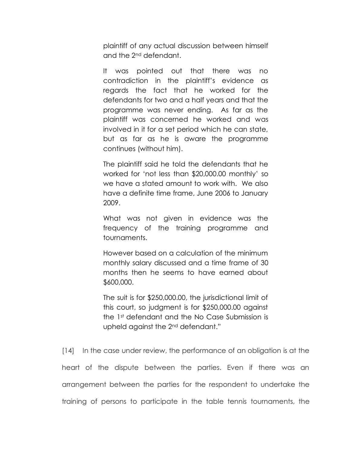plaintiff of any actual discussion between himself and the 2nd defendant.

It was pointed out that there was no contradiction in the plaintiff"s evidence as regards the fact that he worked for the defendants for two and a half years and that the programme was never ending. As far as the plaintiff was concerned he worked and was involved in it for a set period which he can state, but as far as he is aware the programme continues (without him).

The plaintiff said he told the defendants that he worked for "not less than \$20,000.00 monthly" so we have a stated amount to work with. We also have a definite time frame, June 2006 to January 2009.

What was not given in evidence was the frequency of the training programme and tournaments.

However based on a calculation of the minimum monthly salary discussed and a time frame of 30 months then he seems to have earned about \$600,000.

The suit is for \$250,000.00, the jurisdictional limit of this court, so judgment is for \$250,000.00 against the 1st defendant and the No Case Submission is upheld against the 2nd defendant."

[14] In the case under review, the performance of an obligation is at the heart of the dispute between the parties. Even if there was an arrangement between the parties for the respondent to undertake the training of persons to participate in the table tennis tournaments, the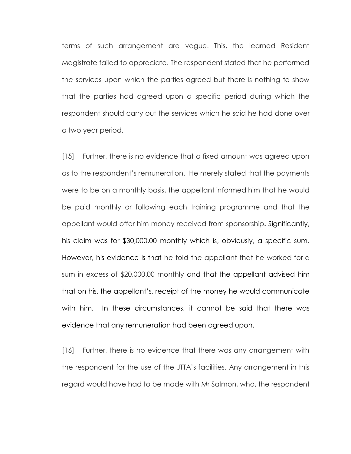terms of such arrangement are vague. This, the learned Resident Magistrate failed to appreciate. The respondent stated that he performed the services upon which the parties agreed but there is nothing to show that the parties had agreed upon a specific period during which the respondent should carry out the services which he said he had done over a two year period.

[15] Further, there is no evidence that a fixed amount was agreed upon as to the respondent"s remuneration. He merely stated that the payments were to be on a monthly basis, the appellant informed him that he would be paid monthly or following each training programme and that the appellant would offer him money received from sponsorship**.** Significantly, his claim was for \$30,000.00 monthly which is, obviously, a specific sum. However, his evidence is that he told the appellant that he worked for a sum in excess of \$20,000.00 monthly and that the appellant advised him that on his, the appellant"s, receipt of the money he would communicate with him. In these circumstances, it cannot be said that there was evidence that any remuneration had been agreed upon.

[16] Further, there is no evidence that there was any arrangement with the respondent for the use of the JTTA"s facilities. Any arrangement in this regard would have had to be made with Mr Salmon, who, the respondent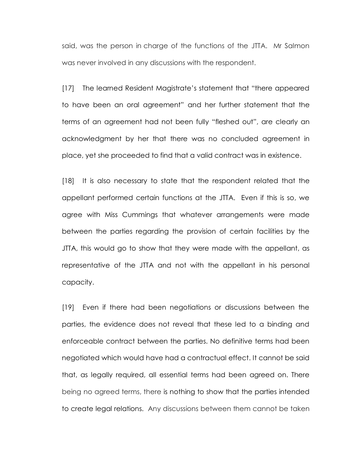said, was the person in charge of the functions of the JTTA. Mr Salmon was never involved in any discussions with the respondent.

[17] The learned Resident Magistrate"s statement that "there appeared to have been an oral agreement" and her further statement that the terms of an agreement had not been fully "fleshed out", are clearly an acknowledgment by her that there was no concluded agreement in place, yet she proceeded to find that a valid contract was in existence.

[18] It is also necessary to state that the respondent related that the appellant performed certain functions at the JTTA. Even if this is so, we agree with Miss Cummings that whatever arrangements were made between the parties regarding the provision of certain facilities by the JTTA, this would go to show that they were made with the appellant, as representative of the JTTA and not with the appellant in his personal capacity.

[19] Even if there had been negotiations or discussions between the parties, the evidence does not reveal that these led to a binding and enforceable contract between the parties. No definitive terms had been negotiated which would have had a contractual effect. It cannot be said that, as legally required, all essential terms had been agreed on. There being no agreed terms, there is nothing to show that the parties intended to create legal relations. Any discussions between them cannot be taken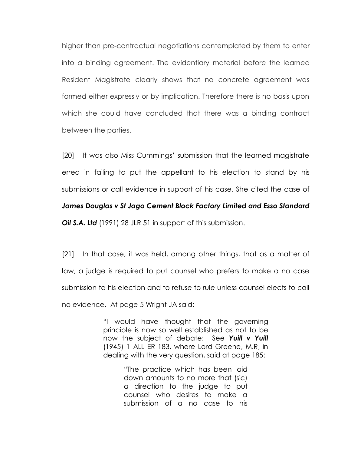higher than pre-contractual negotiations contemplated by them to enter into a binding agreement. The evidentiary material before the learned Resident Magistrate clearly shows that no concrete agreement was formed either expressly or by implication. Therefore there is no basis upon which she could have concluded that there was a binding contract between the parties.

[20] It was also Miss Cummings" submission that the learned magistrate erred in failing to put the appellant to his election to stand by his submissions or call evidence in support of his case. She cited the case of

#### *James Douglas v St Jago Cement Block Factory Limited and Esso Standard*

*Oil S.A. Ltd* (1991) 28 JLR 51 in support of this submission.

[21] In that case, it was held, among other things, that as a matter of law, a judge is required to put counsel who prefers to make a no case submission to his election and to refuse to rule unless counsel elects to call no evidence. At page 5 Wright JA said:

> "I would have thought that the governing principle is now so well established as not to be now the subject of debate: See *Yuill v Yuill* (1945) 1 ALL ER 183, where Lord Greene, M.R, in dealing with the very question, said at page 185:

> > "The practice which has been laid down amounts to no more that (sic) a direction to the judge to put counsel who desires to make a submission of a no case to his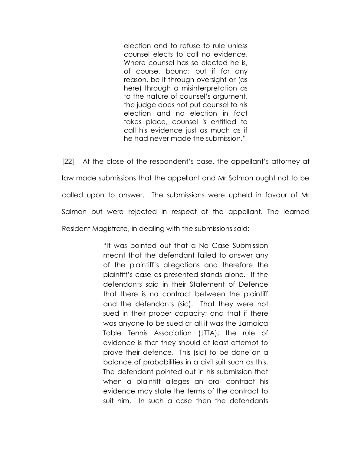election and to refuse to rule unless counsel elects to call no evidence. Where counsel has so elected he is, of course, bound: but if for any reason, be it through oversight or (as here) through a misinterpretation as to the nature of counsel"s argument, the judge does not put counsel to his election and no election in fact takes place, counsel is entitled to call his evidence just as much as if he had never made the submission."

[22] At the close of the respondent"s case, the appellant"s attorney at law made submissions that the appellant and Mr Salmon ought not to be called upon to answer. The submissions were upheld in favour of Mr Salmon but were rejected in respect of the appellant. The learned Resident Magistrate, in dealing with the submissions said:

> "It was pointed out that a No Case Submission meant that the defendant failed to answer any of the plaintiff"s allegations and therefore the plaintiff"s case as presented stands alone. If the defendants said in their Statement of Defence that there is no contract between the plaintiff and the defendants (sic). That they were not sued in their proper capacity; and that if there was anyone to be sued at all it was the Jamaica Table Tennis Association (JTTA); the rule of evidence is that they should at least attempt to prove their defence. This (sic) to be done on a balance of probabilities in a civil suit such as this. The defendant pointed out in his submission that when a plaintiff alleges an oral contract his evidence may state the terms of the contract to suit him. In such a case then the defendants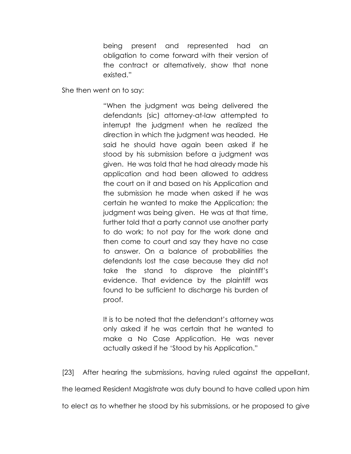being present and represented had an obligation to come forward with their version of the contract or alternatively, show that none existed."

She then went on to say:

"When the judgment was being delivered the defendants (sic) attorney-at-law attempted to interrupt the judgment when he realized the direction in which the judgment was headed. He said he should have again been asked if he stood by his submission before a judgment was given. He was told that he had already made his application and had been allowed to address the court on it and based on his Application and the submission he made when asked if he was certain he wanted to make the Application; the judgment was being given. He was at that time, further told that a party cannot use another party to do work; to not pay for the work done and then come to court and say they have no case to answer. On a balance of probabilities the defendants lost the case because they did not take the stand to disprove the plaintiff"s evidence. That evidence by the plaintiff was found to be sufficient to discharge his burden of proof.

It is to be noted that the defendant"s attorney was only asked if he was certain that he wanted to make a No Case Application. He was never actually asked if he "Stood by his Application."

[23] After hearing the submissions, having ruled against the appellant,

the learned Resident Magistrate was duty bound to have called upon him

to elect as to whether he stood by his submissions, or he proposed to give